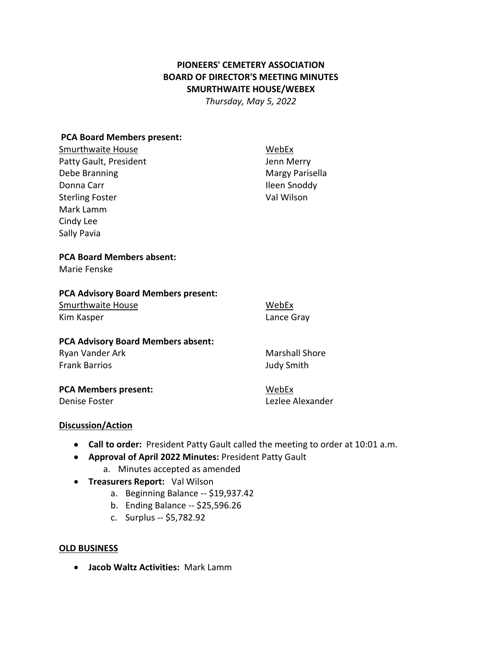# **PIONEERS' CEMETERY ASSOCIATION BOARD OF DIRECTOR'S MEETING MINUTES SMURTHWAITE HOUSE/WEBEX**

*Thursday, May 5, 2022* 

### **PCA Board Members present:**

Smurthwaite House **Manual** Smurthwaite House Patty Gault, President and Tennis and Senator Merry Debe Branning **Margy Parisella** Donna Carr **Ileen Snoddy** Sterling Foster **Val Wilson** Mark Lamm Cindy Lee Sally Pavia

## **PCA Board Members absent:**

Marie Fenske

### **PCA Advisory Board Members present:**

Smurthwaite House **Michael Accord WebEx** Kim Kasper **Lance Gray** 

### **PCA Advisory Board Members absent:**

Ryan Vander Ark Marshall Shore Frank Barrios **Frank Barrios Judy Smith** 

**PCA Members present:** WebEx

Denise Foster **Leading Community** Change Alexander

## **Discussion/Action**

- **Call to order:** President Patty Gault called the meeting to order at 10:01 a.m.
- **Approval of April 2022 Minutes:** President Patty Gault
	- a. Minutes accepted as amended
- **Treasurers Report:** Val Wilson
	- a. Beginning Balance -- \$19,937.42
	- b. Ending Balance -- \$25,596.26
	- c. Surplus -- \$5,782.92

### **OLD BUSINESS**

• **Jacob Waltz Activities:** Mark Lamm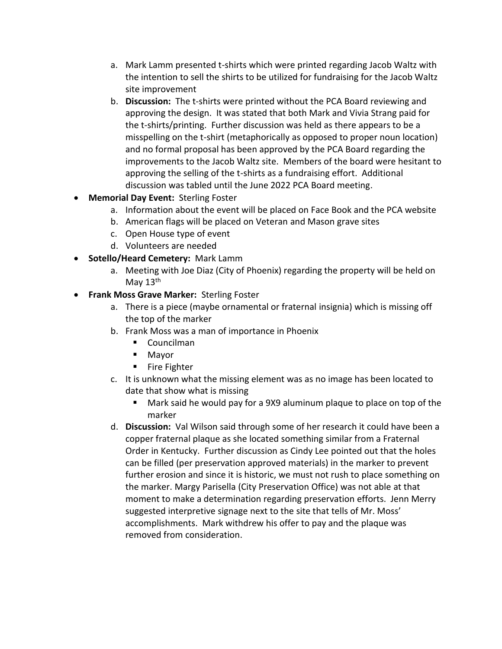- a. Mark Lamm presented t-shirts which were printed regarding Jacob Waltz with the intention to sell the shirts to be utilized for fundraising for the Jacob Waltz site improvement
- b. **Discussion:** The t-shirts were printed without the PCA Board reviewing and approving the design. It was stated that both Mark and Vivia Strang paid for the t-shirts/printing. Further discussion was held as there appears to be a misspelling on the t-shirt (metaphorically as opposed to proper noun location) and no formal proposal has been approved by the PCA Board regarding the improvements to the Jacob Waltz site. Members of the board were hesitant to approving the selling of the t-shirts as a fundraising effort. Additional discussion was tabled until the June 2022 PCA Board meeting.
- **Memorial Day Event:** Sterling Foster
	- a. Information about the event will be placed on Face Book and the PCA website
	- b. American flags will be placed on Veteran and Mason grave sites
	- c. Open House type of event
	- d. Volunteers are needed
- **Sotello/Heard Cemetery:** Mark Lamm
	- a. Meeting with Joe Diaz (City of Phoenix) regarding the property will be held on May  $13<sup>th</sup>$
- **Frank Moss Grave Marker:** Sterling Foster
	- a. There is a piece (maybe ornamental or fraternal insignia) which is missing off the top of the marker
	- b. Frank Moss was a man of importance in Phoenix
		- Councilman
		- Mayor
		- Fire Fighter
	- c. It is unknown what the missing element was as no image has been located to date that show what is missing
		- Mark said he would pay for a 9X9 aluminum plaque to place on top of the marker
	- d. **Discussion:** Val Wilson said through some of her research it could have been a copper fraternal plaque as she located something similar from a Fraternal Order in Kentucky. Further discussion as Cindy Lee pointed out that the holes can be filled (per preservation approved materials) in the marker to prevent further erosion and since it is historic, we must not rush to place something on the marker. Margy Parisella (City Preservation Office) was not able at that moment to make a determination regarding preservation efforts. Jenn Merry suggested interpretive signage next to the site that tells of Mr. Moss' accomplishments. Mark withdrew his offer to pay and the plaque was removed from consideration.